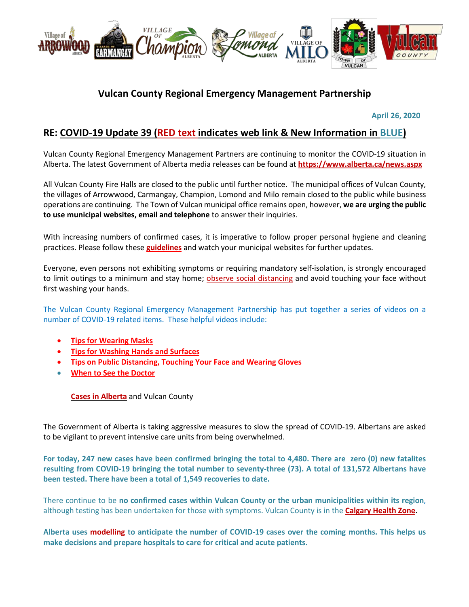

# **Vulcan County Regional Emergency Management Partnership**

 **April 26, 2020**

# **RE: COVID-19 Update 39 (RED text indicates web link & New Information in BLUE)**

Vulcan County Regional Emergency Management Partners are continuing to monitor the COVID-19 situation in Alberta. The latest Government of Alberta media releases can be found at **<https://www.alberta.ca/news.aspx>**

All Vulcan County Fire Halls are closed to the public until further notice. The municipal offices of Vulcan County, the villages of Arrowwood, Carmangay, Champion, Lomond and Milo remain closed to the public while business operations are continuing. The Town of Vulcan municipal office remains open, however, **we are urging the public to use municipal websites, email and telephone** to answer their inquiries.

With increasing numbers of confirmed cases, it is imperative to follow proper personal hygiene and cleaning practices. Please follow these **[guidelines](https://www.albertahealthservices.ca/topics/Page16997.aspx#sign)** and watch your municipal websites for further updates.

Everyone, even persons not exhibiting symptoms or requiring mandatory self-isolation, is strongly encouraged to limit outings to a minimum and stay home; [observe social distancing](https://www.albertahealthservices.ca/topics/Page17008.aspx) and avoid touching your face without first washing your hands.

The Vulcan County Regional Emergency Management Partnership has put together a series of videos on a number of COVID-19 related items. These helpful videos include:

- **[Tips for Wearing Masks](https://youtu.be/mS2rSlOT2n0)**
- **[Tips for Washing Hands and Surfaces](https://youtu.be/pWpGo3uQe-4)**
- **[Tips on Public Distancing, Touching Your Face and Wearing Gloves](https://youtu.be/84qhhl06TII)**
- **[When to See the Doctor](https://youtu.be/raDnetqvEXk)**

**[Cases in Alberta](https://covid19stats.alberta.ca/)** and Vulcan County

The Government of Alberta is taking aggressive measures to slow the spread of COVID-19. Albertans are asked to be vigilant to prevent intensive care units from being overwhelmed.

**For today, 247 new cases have been confirmed bringing the total to 4,480. There are zero (0) new fatalites resulting from COVID-19 bringing the total number to seventy-three (73). A total of 131,572 Albertans have been tested. There have been a total of 1,549 recoveries to date.**

There continue to be **no confirmed cases within Vulcan County or the urban municipalities within its region**, although testing has been undertaken for those with symptoms. Vulcan County is in the **[Calgary Health Zone](https://www.albertahealthservices.ca/ahs-map-ahs-zones.pdf)**.

**Alberta uses [modelling](https://www.alberta.ca/assets/documents/covid-19-case-modelling-projection.pdf) to anticipate the number of COVID-19 cases over the coming months. This helps us make decisions and prepare hospitals to care for critical and acute patients.**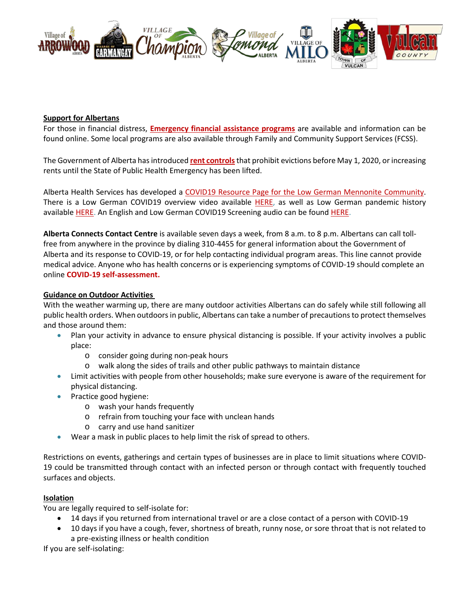

#### **Support for Albertans**

For those in financial distress, **[Emergency financial assistance programs](https://www.alberta.ca/emergency-financial-assistance.aspx)** are available and information can be found online. Some local programs are also available through Family and Community Support Services (FCSS).

The Government of Alberta has introduced **[rent controls](https://www.alberta.ca/information-tenants-landlords.aspx)**that prohibit evictions before May 1, 2020, or increasing rents until the State of Public Health Emergency has been lifted.

Alberta Health Services has developed a [COVID19 Resource Page for the Low German Mennonite Community.](https://sites.google.com/view/lgmcovidresources/home) There is a Low German COVID19 overview video available [HERE,](https://www.youtube.com/watch?v=gChNtbeUeIQ&feature=youtu.be) as well as Low German pandemic history available [HERE.](https://www.youtube.com/watch?v=g-qqk_J6c5Q) An English and Low German COVID19 Screening audio can be found [HERE.](https://villageofarrowwood.ca/covid19-screening-in-english-and-low-german/)

**Alberta Connects Contact Centre** is available seven days a week, from 8 a.m. to 8 p.m. Albertans can call tollfree from anywhere in the province by dialing 310-4455 for general information about the Government of Alberta and its response to COVID-19, or for help contacting individual program areas. This line cannot provide medical advice. Anyone who has health concerns or is experiencing symptoms of COVID-19 should complete an online **[COVID-19 self-assessment.](https://myhealth.alberta.ca/Journey/COVID-19/Pages/COVID-Self-Assessment.aspx)**

#### **Guidance on Outdoor Activities**

With the weather warming up, there are many outdoor activities Albertans can do safely while still following all public health orders. When outdoors in public, Albertans can take a number of precautions to protect themselves and those around them:

- Plan your activity in advance to ensure physical distancing is possible. If your activity involves a public place:
	- o consider going during non-peak hours
	- o walk along the sides of trails and other public pathways to maintain distance
- Limit activities with people from other households; make sure everyone is aware of the requirement for physical distancing.
- Practice good hygiene:
	- o wash your hands frequently
	- o refrain from touching your face with unclean hands
	- o carry and use hand sanitizer
- Wear a mask in public places to help limit the risk of spread to others.

Restrictions on events, gatherings and certain types of businesses are in place to limit situations where COVID-19 could be transmitted through contact with an infected person or through contact with frequently touched surfaces and objects.

#### **Isolation**

You are legally required to self-isolate for:

- 14 days if you returned from international travel or are a close contact of a person with COVID-19
- 10 days if you have a cough, fever, shortness of breath, runny nose, or sore throat that is not related to a pre-existing illness or health condition

If you are self-isolating: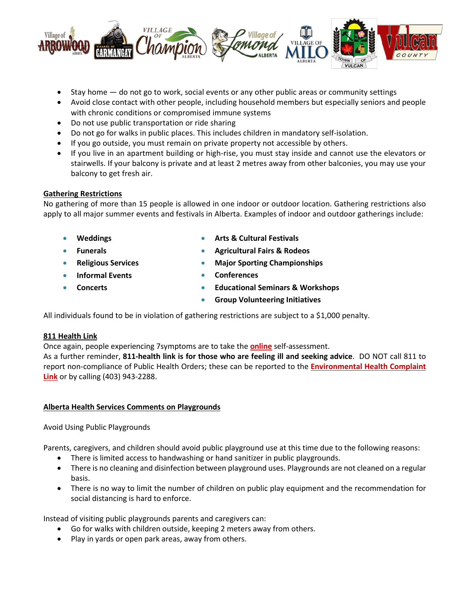

- Stay home do not go to work, social events or any other public areas or community settings
- Avoid close contact with other people, including household members but especially seniors and people with chronic conditions or compromised immune systems
- Do not use public transportation or ride sharing
- Do not go for walks in public places. This includes children in mandatory self-isolation.
- If you go outside, you must remain on private property not accessible by others.
- If you live in an apartment building or high-rise, you must stay inside and cannot use the elevators or stairwells. If your balcony is private and at least 2 metres away from other balconies, you may use your balcony to get fresh air.

## **Gathering Restrictions**

No gathering of more than 15 people is allowed in one indoor or outdoor location. Gathering restrictions also apply to all major summer events and festivals in Alberta. Examples of indoor and outdoor gatherings include:

- **Weddings**
- **Funerals**
- **Arts & Cultural Festivals**
- **Agricultural Fairs & Rodeos**
- **Major Sporting Championships** 
	- **Conferences**

• **Concerts** 

• **Religious Services**  • **Informal Events** 

- 
- **Educational Seminars & Workshops**
- **Group Volunteering Initiatives**

All individuals found to be in violation of gathering restrictions are subject to a \$1,000 penalty.

## **811 Health Link**

Once again, people experiencing 7symptoms are to take the **[online](https://myhealth.alberta.ca/Journey/COVID-19/Pages/COVID-Self-Assessment.aspx)** self-assessment.

As a further reminder, **811-health link is for those who are feeling ill and seeking advice**. DO NOT call 811 to report non-compliance of Public Health Orders; these can be reported to the **[Environmental Health Complaint](https://ephisahs.microsoftcrmportals.com/create-case/)  [Link](https://ephisahs.microsoftcrmportals.com/create-case/)** or by calling (403) 943-2288.

## **Alberta Health Services Comments on Playgrounds**

## Avoid Using Public Playgrounds

Parents, caregivers, and children should avoid public playground use at this time due to the following reasons:

- There is limited access to handwashing or hand sanitizer in public playgrounds.
- There is no cleaning and disinfection between playground uses. Playgrounds are not cleaned on a regular basis.
- There is no way to limit the number of children on public play equipment and the recommendation for social distancing is hard to enforce.

Instead of visiting public playgrounds parents and caregivers can:

- Go for walks with children outside, keeping 2 meters away from others.
- Play in yards or open park areas, away from others.